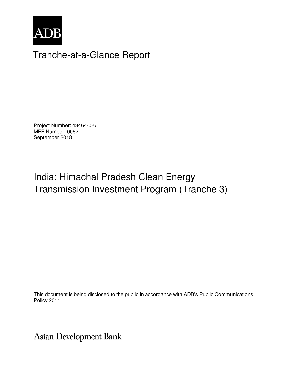

## Tranche-at-a-Glance Report

Project Number: 43464-027 MFF Number: 0062 September 2018

# India: Himachal Pradesh Clean Energy Transmission Investment Program (Tranche 3)

This document is being disclosed to the public in accordance with ADB's Public Communications Policy 2011.

**Asian Development Bank**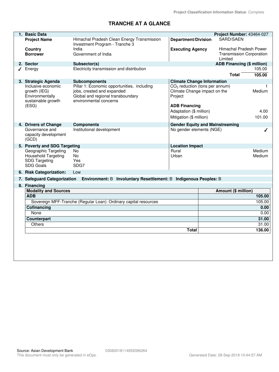## **TRANCHE AT A GLANCE**

|   | 1. Basic Data<br>Project Number: 43464-027                                                      |                                                                                                                                          |                                                                                       |                                                                      |                     |  |
|---|-------------------------------------------------------------------------------------------------|------------------------------------------------------------------------------------------------------------------------------------------|---------------------------------------------------------------------------------------|----------------------------------------------------------------------|---------------------|--|
|   | <b>Project Name</b>                                                                             | Himachal Pradesh Clean Energy Transmission<br>Investment Program - Tranche 3                                                             | <b>Department/Division</b>                                                            | SARD/SAEN                                                            |                     |  |
|   | <b>Country</b><br><b>Borrower</b>                                                               | India<br>Government of India                                                                                                             | <b>Executing Agency</b>                                                               | Himachal Pradesh Power<br><b>Transmission Corporation</b><br>Limited |                     |  |
|   | 2. Sector                                                                                       | Subsector(s)                                                                                                                             |                                                                                       | ADB Financing (\$ million)                                           |                     |  |
| ◢ | Energy                                                                                          | Electricity transmission and distribution                                                                                                |                                                                                       |                                                                      | 105.00              |  |
|   |                                                                                                 |                                                                                                                                          |                                                                                       | <b>Total</b>                                                         | 105.00              |  |
|   | 3. Strategic Agenda                                                                             | <b>Subcomponents</b>                                                                                                                     | <b>Climate Change Information</b>                                                     |                                                                      |                     |  |
|   | Inclusive economic<br>growth (IEG)<br>Environmentally<br>sustainable growth                     | Pillar 1: Economic opportunities, including<br>jobs, created and expanded<br>Global and regional transboundary<br>environmental concerns | CO <sub>2</sub> reduction (tons per annum)<br>Climate Change impact on the<br>Project |                                                                      | 1<br>Medium         |  |
|   | (ESG)                                                                                           |                                                                                                                                          | <b>ADB Financing</b><br>Adaptation (\$ million)<br>Mitigation (\$ million)            |                                                                      | 4.00<br>101.00      |  |
|   | 4. Drivers of Change                                                                            | <b>Components</b>                                                                                                                        |                                                                                       | <b>Gender Equity and Mainstreaming</b>                               |                     |  |
|   | Governance and<br>capacity development<br>(GCD)                                                 | Institutional development                                                                                                                | No gender elements (NGE)<br>ℐ                                                         |                                                                      |                     |  |
|   | 5. Poverty and SDG Targeting                                                                    |                                                                                                                                          | <b>Location Impact</b>                                                                |                                                                      |                     |  |
|   | Geographic Targeting<br><b>Household Targeting</b><br><b>SDG Targeting</b><br><b>SDG Goals</b>  | No.<br>No<br>Yes<br>SDG7                                                                                                                 | Rural<br>Urban                                                                        |                                                                      | Medium<br>Medium    |  |
|   | 6. Risk Categorization:                                                                         | Low                                                                                                                                      |                                                                                       |                                                                      |                     |  |
|   | 7. Safeguard Categorization<br>Environment: B Involuntary Resettlement: B Indigenous Peoples: B |                                                                                                                                          |                                                                                       |                                                                      |                     |  |
|   | 8. Financing                                                                                    |                                                                                                                                          |                                                                                       |                                                                      |                     |  |
|   | <b>Modality and Sources</b>                                                                     |                                                                                                                                          |                                                                                       |                                                                      | Amount (\$ million) |  |
|   | <b>ADB</b>                                                                                      |                                                                                                                                          |                                                                                       | 105.00                                                               |                     |  |
|   | Sovereign MFF-Tranche (Regular Loan): Ordinary capital resources                                |                                                                                                                                          |                                                                                       | 105.00                                                               |                     |  |
|   | Cofinancing                                                                                     |                                                                                                                                          |                                                                                       |                                                                      | 0.00                |  |
|   | None                                                                                            |                                                                                                                                          |                                                                                       |                                                                      | 0.00                |  |
|   | Counterpart                                                                                     |                                                                                                                                          |                                                                                       |                                                                      | 31.00               |  |
|   | Others                                                                                          |                                                                                                                                          |                                                                                       |                                                                      | 31.00               |  |
|   | <b>Total</b>                                                                                    |                                                                                                                                          |                                                                                       |                                                                      | 136.00              |  |
|   |                                                                                                 |                                                                                                                                          |                                                                                       |                                                                      |                     |  |